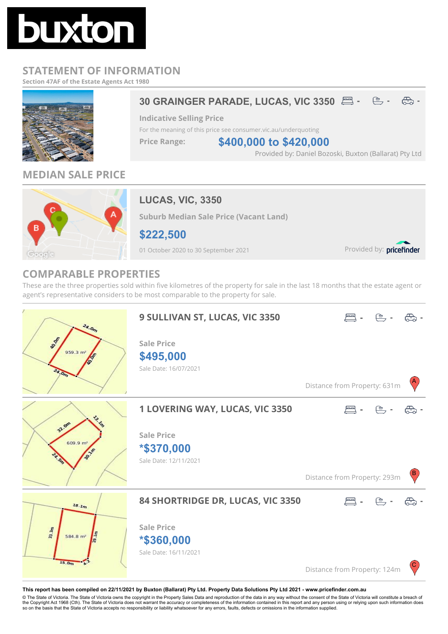

## **STATEMENT OF INFORMATION**

**Section 47AF of the Estate Agents Act 1980**



## **MEDIAN SALE PRICE**



## **LUCAS, VIC, 3350**

**Suburb Median Sale Price (Vacant Land)**

**\$222,500**

01 October 2020 to 30 September 2021

Provided by: pricefinder

## **COMPARABLE PROPERTIES**

These are the three properties sold within five kilometres of the property for sale in the last 18 months that the estate agent or agent's representative considers to be most comparable to the property for sale.



**This report has been compiled on 22/11/2021 by Buxton (Ballarat) Pty Ltd. Property Data Solutions Pty Ltd 2021 - www.pricefinder.com.au**

© The State of Victoria. The State of Victoria owns the copyright in the Property Sales Data and reproduction of the data in any way without the consent of the State of Victoria will constitute a breach of<br>the Copyright Ac so on the basis that the State of Victoria accepts no responsibility or liability whatsoever for any errors, faults, defects or omissions in the information supplied.